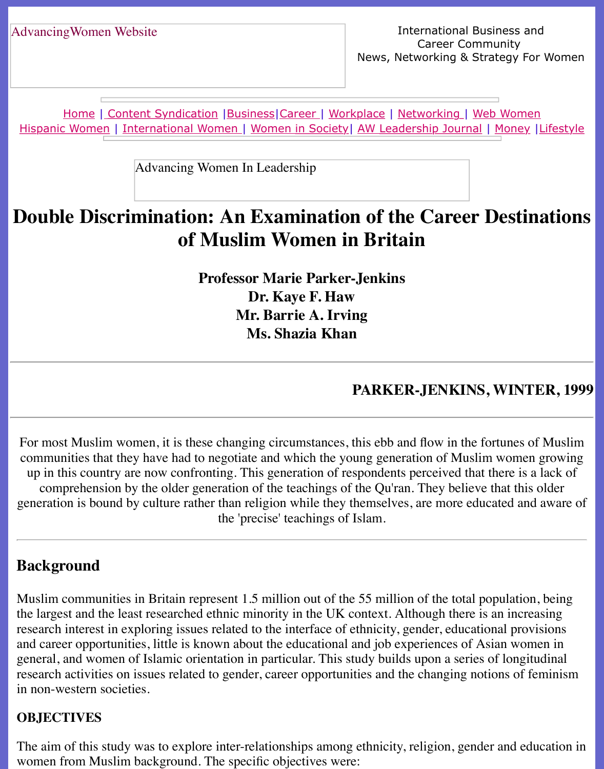Home | Content Syndication | Business | Career | Workplace | Networking | Web Wo Hispanic Women | International Women | Women in Society | AW Leadership Journal | Mon

Advancing Women In Leadership

# **[Doub](file:///hispanic.html)[le Di](http://www.advancingwomen.com/index.html)[scrimination:](file:///content.html) [An Ex](file:///business.html)[amina](file:///awcareer.html)[tion of](file:///workplace.html) t[he Caree](file:///networks.html)[r Destina](file:///web.html)ble 3 [of Mus](file:///international.html)[l](file:///Users/nrahman/Dropbox/AWL/womsoc/index.html)i[m Women i](file:///Users/nrahman/Dropbox/AWL/womsoc/index.html)[n Britain](file:///awl/awl.html)**

**Professor Marie Parker-Jenkins Dr. Kaye F. Haw Mr. Barrie A. Irving Ms. Shazia Khan**

#### **PARKER-JENKINS, WI**

For most Muslim women, it is these changing circumstances, this ebb and flow in the fortun communities that they have had to negotiate and which the young generation of Muslim wo up in this country are now confronting. This generation of respondents perceived that there comprehension by the older generation of the teachings of the Qu'ran. They believe that generation is bound by culture rather than religion while they themselves, are more educated the 'precise' teachings of Islam.

#### **Background**

Muslim communities in Britain represent 1.5 million out of the 55 million of the total population, being the largest and the least researched ethnic minority in the UK context. Although there is an in research interest in exploring issues related to the interface of ethnicity, gender, educational provisions. and career opportunities, little is known about the educational and job experiences of Asian v general, and women of Islamic orientation in particular. This study builds upon a series of lo research activities on issues related to gender, career opportunities and the changing notions in non-western societies.

#### **OBJECTIVES**

The aim of this study was to explore inter-relationships among ethnicity, religion, gender and women from Muslim background. The specific objectives were: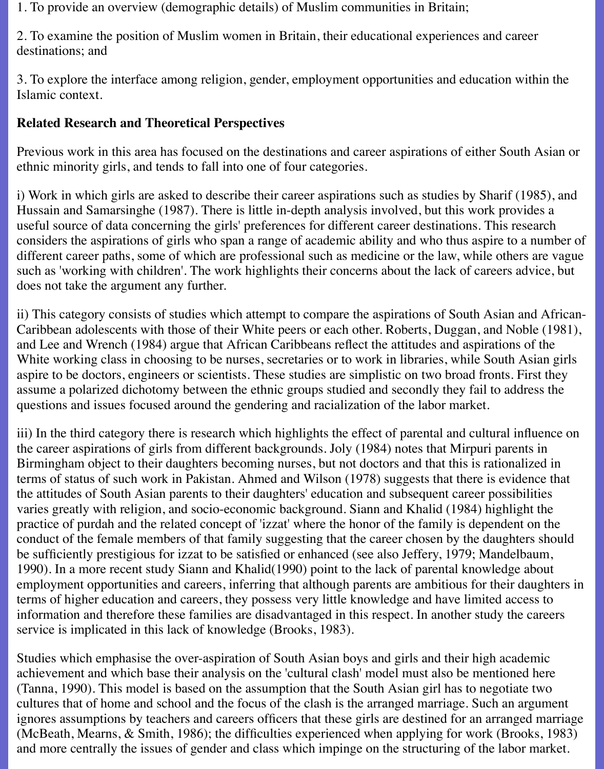1. To provide an overview (demographic details) of Muslim communities in Britain;

2. To examine the position of Muslim women in Britain, their educational experiences and career destinations; and

3. To explore the interface among religion, gender, employment opportunities and education within the Islamic context.

### **Related Research and Theoretical Perspectives**

Previous work in this area has focused on the destinations and career aspirations of either South Asian or ethnic minority girls, and tends to fall into one of four categories.

i) Work in which girls are asked to describe their career aspirations such as studies by Sharif (1985), and Hussain and Samarsinghe (1987). There is little in-depth analysis involved, but this work provides a useful source of data concerning the girls' preferences for different career destinations. This research considers the aspirations of girls who span a range of academic ability and who thus aspire to a number of different career paths, some of which are professional such as medicine or the law, while others are vague such as 'working with children'. The work highlights their concerns about the lack of careers advice, but does not take the argument any further.

ii) This category consists of studies which attempt to compare the aspirations of South Asian and African-Caribbean adolescents with those of their White peers or each other. Roberts, Duggan, and Noble (1981), and Lee and Wrench (1984) argue that African Caribbeans reflect the attitudes and aspirations of the White working class in choosing to be nurses, secretaries or to work in libraries, while South Asian girls aspire to be doctors, engineers or scientists. These studies are simplistic on two broad fronts. First they assume a polarized dichotomy between the ethnic groups studied and secondly they fail to address the questions and issues focused around the gendering and racialization of the labor market.

iii) In the third category there is research which highlights the effect of parental and cultural influence on the career aspirations of girls from different backgrounds. Joly (1984) notes that Mirpuri parents in Birmingham object to their daughters becoming nurses, but not doctors and that this is rationalized in terms of status of such work in Pakistan. Ahmed and Wilson (1978) suggests that there is evidence that the attitudes of South Asian parents to their daughters' education and subsequent career possibilities varies greatly with religion, and socio-economic background. Siann and Khalid (1984) highlight the practice of purdah and the related concept of 'izzat' where the honor of the family is dependent on the conduct of the female members of that family suggesting that the career chosen by the daughters should be sufficiently prestigious for izzat to be satisfied or enhanced (see also Jeffery, 1979; Mandelbaum, 1990). In a more recent study Siann and Khalid(1990) point to the lack of parental knowledge about employment opportunities and careers, inferring that although parents are ambitious for their daughters in terms of higher education and careers, they possess very little knowledge and have limited access to information and therefore these families are disadvantaged in this respect. In another study the careers service is implicated in this lack of knowledge (Brooks, 1983).

Studies which emphasise the over-aspiration of South Asian boys and girls and their high academic achievement and which base their analysis on the 'cultural clash' model must also be mentioned here (Tanna, 1990). This model is based on the assumption that the South Asian girl has to negotiate two cultures that of home and school and the focus of the clash is the arranged marriage. Such an argument ignores assumptions by teachers and careers officers that these girls are destined for an arranged marriage (McBeath, Mearns, & Smith, 1986); the difficulties experienced when applying for work (Brooks, 1983) and more centrally the issues of gender and class which impinge on the structuring of the labor market.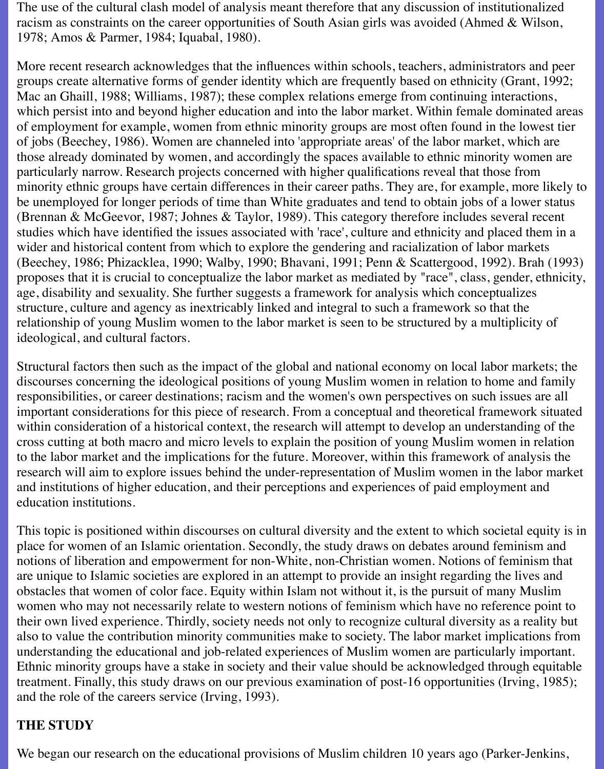The use of the cultural clash model of analysis meant therefore that any discussion of institutionalized racism as constraints on the career opportunities of South Asian girls was avoided (Ahmed & Wilson, 1978; Amos & Parmer, 1984; Iquabal, 1980).

More recent research acknowledges that the influences within schools, teachers, administrators and peer groups create alternative forms of gender identity which are frequently based on ethnicity (Grant, 1992; Mac an Ghaill, 1988; Williams, 1987); these complex relations emerge from continuing interactions, which persist into and beyond higher education and into the labor market. Within female dominated areas of employment for example, women from ethnic minority groups are most often found in the lowest tier of jobs (Beechey, 1986). Women are channeled into 'appropriate areas' of the labor market, which are those already dominated by women, and accordingly the spaces available to ethnic minority women are particularly narrow. Research projects concerned with higher qualifications reveal that those from minority ethnic groups have certain differences in their career paths. They are, for example, more likely to be unemployed for longer periods of time than White graduates and tend to obtain jobs of a lower status (Brennan & McGeevor, 1987; Johnes & Taylor, 1989). This category therefore includes several recent studies which have identified the issues associated with 'race', culture and ethnicity and placed them in a wider and historical content from which to explore the gendering and racialization of labor markets (Beechey, 1986; Phizacklea, 1990; Walby, 1990; Bhavani, 1991; Penn & Scattergood, 1992). Brah (1993) proposes that it is crucial to conceptualize the labor market as mediated by "race", class, gender, ethnicity, age, disability and sexuality. She further suggests a framework for analysis which conceptualizes structure, culture and agency as inextricably linked and integral to such a framework so that the relationship of young Muslim women to the labor market is seen to be structured by a multiplicity of ideological, and cultural factors.

Structural factors then such as the impact of the global and national economy on local labor markets; the discourses concerning the ideological positions of young Muslim women in relation to home and family responsibilities, or career destinations; racism and the women's own perspectives on such issues are all important considerations for this piece of research. From a conceptual and theoretical framework situated within consideration of a historical context, the research will attempt to develop an understanding of the cross cutting at both macro and micro levels to explain the position of young Muslim women in relation to the labor market and the implications for the future. Moreover, within this framework of analysis the research will aim to explore issues behind the under-representation of Muslim women in the labor market and institutions of higher education, and their perceptions and experiences of paid employment and education institutions.

This topic is positioned within discourses on cultural diversity and the extent to which societal equity is in place for women of an Islamic orientation. Secondly, the study draws on debates around feminism and notions of liberation and empowerment for non-White, non-Christian women. Notions of feminism that are unique to Islamic societies are explored in an attempt to provide an insight regarding the lives and obstacles that women of color face. Equity within Islam not without it, is the pursuit of many Muslim women who may not necessarily relate to western notions of feminism which have no reference point to their own lived experience. Thirdly, society needs not only to recognize cultural diversity as a reality but also to value the contribution minority communities make to society. The labor market implications from understanding the educational and job-related experiences of Muslim women are particularly important. Ethnic minority groups have a stake in society and their value should be acknowledged through equitable treatment. Finally, this study draws on our previous examination of post-16 opportunities (Irving, 1985); and the role of the careers service (Irving, 1993).

#### **THE STUDY**

We began our research on the educational provisions of Muslim children 10 years ago (Parker-Jenkins,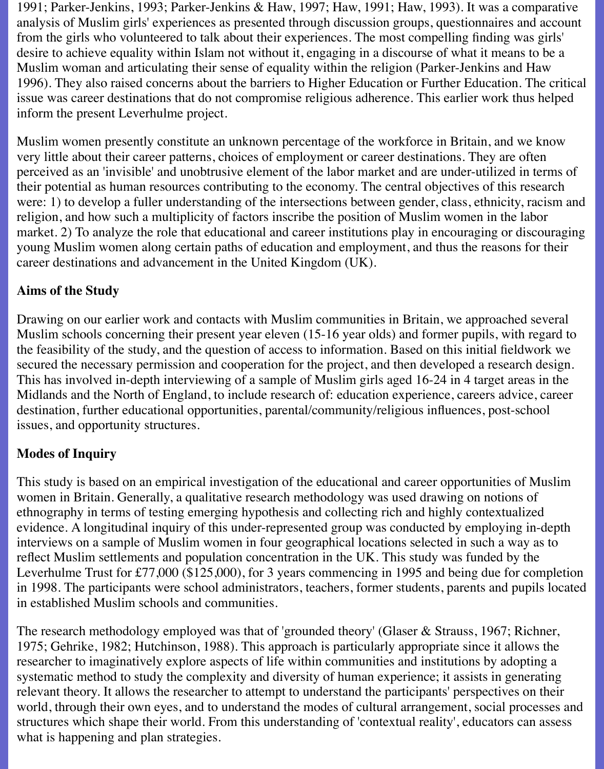1991; Parker-Jenkins, 1993; Parker-Jenkins & Haw, 1997; Haw, 1991; Haw, 1993). It was a comparative analysis of Muslim girls' experiences as presented through discussion groups, questionnaires and account from the girls who volunteered to talk about their experiences. The most compelling finding was girls' desire to achieve equality within Islam not without it, engaging in a discourse of what it means to be a Muslim woman and articulating their sense of equality within the religion (Parker-Jenkins and Haw 1996). They also raised concerns about the barriers to Higher Education or Further Education. The critical issue was career destinations that do not compromise religious adherence. This earlier work thus helped inform the present Leverhulme project.

Muslim women presently constitute an unknown percentage of the workforce in Britain, and we know very little about their career patterns, choices of employment or career destinations. They are often perceived as an 'invisible' and unobtrusive element of the labor market and are under-utilized in terms of their potential as human resources contributing to the economy. The central objectives of this research were: 1) to develop a fuller understanding of the intersections between gender, class, ethnicity, racism and religion, and how such a multiplicity of factors inscribe the position of Muslim women in the labor market. 2) To analyze the role that educational and career institutions play in encouraging or discouraging young Muslim women along certain paths of education and employment, and thus the reasons for their career destinations and advancement in the United Kingdom (UK).

## **Aims of the Study**

Drawing on our earlier work and contacts with Muslim communities in Britain, we approached several Muslim schools concerning their present year eleven (15-16 year olds) and former pupils, with regard to the feasibility of the study, and the question of access to information. Based on this initial fieldwork we secured the necessary permission and cooperation for the project, and then developed a research design. This has involved in-depth interviewing of a sample of Muslim girls aged 16-24 in 4 target areas in the Midlands and the North of England, to include research of: education experience, careers advice, career destination, further educational opportunities, parental/community/religious influences, post-school issues, and opportunity structures.

## **Modes of Inquiry**

This study is based on an empirical investigation of the educational and career opportunities of Muslim women in Britain. Generally, a qualitative research methodology was used drawing on notions of ethnography in terms of testing emerging hypothesis and collecting rich and highly contextualized evidence. A longitudinal inquiry of this under-represented group was conducted by employing in-depth interviews on a sample of Muslim women in four geographical locations selected in such a way as to reflect Muslim settlements and population concentration in the UK. This study was funded by the Leverhulme Trust for £77,000 (\$125,000), for 3 years commencing in 1995 and being due for completion in 1998. The participants were school administrators, teachers, former students, parents and pupils located in established Muslim schools and communities.

The research methodology employed was that of 'grounded theory' (Glaser & Strauss, 1967; Richner, 1975; Gehrike, 1982; Hutchinson, 1988). This approach is particularly appropriate since it allows the researcher to imaginatively explore aspects of life within communities and institutions by adopting a systematic method to study the complexity and diversity of human experience; it assists in generating relevant theory. It allows the researcher to attempt to understand the participants' perspectives on their world, through their own eyes, and to understand the modes of cultural arrangement, social processes and structures which shape their world. From this understanding of 'contextual reality', educators can assess what is happening and plan strategies.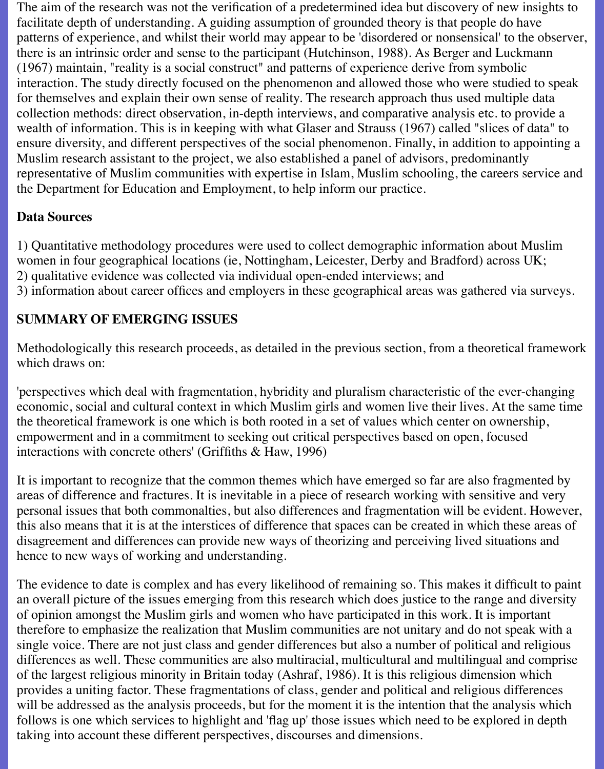The aim of the research was not the verification of a predetermined idea but discovery of new insights to facilitate depth of understanding. A guiding assumption of grounded theory is that people do have patterns of experience, and whilst their world may appear to be 'disordered or nonsensical' to the observer, there is an intrinsic order and sense to the participant (Hutchinson, 1988). As Berger and Luckmann (1967) maintain, "reality is a social construct" and patterns of experience derive from symbolic interaction. The study directly focused on the phenomenon and allowed those who were studied to speak for themselves and explain their own sense of reality. The research approach thus used multiple data collection methods: direct observation, in-depth interviews, and comparative analysis etc. to provide a wealth of information. This is in keeping with what Glaser and Strauss (1967) called "slices of data" to ensure diversity, and different perspectives of the social phenomenon. Finally, in addition to appointing a Muslim research assistant to the project, we also established a panel of advisors, predominantly representative of Muslim communities with expertise in Islam, Muslim schooling, the careers service and the Department for Education and Employment, to help inform our practice.

### **Data Sources**

1) Quantitative methodology procedures were used to collect demographic information about Muslim women in four geographical locations (ie, Nottingham, Leicester, Derby and Bradford) across UK; 2) qualitative evidence was collected via individual open-ended interviews; and 3) information about career offices and employers in these geographical areas was gathered via surveys.

## **SUMMARY OF EMERGING ISSUES**

Methodologically this research proceeds, as detailed in the previous section, from a theoretical framework which draws on:

'perspectives which deal with fragmentation, hybridity and pluralism characteristic of the ever-changing economic, social and cultural context in which Muslim girls and women live their lives. At the same time the theoretical framework is one which is both rooted in a set of values which center on ownership, empowerment and in a commitment to seeking out critical perspectives based on open, focused interactions with concrete others' (Griffiths & Haw, 1996)

It is important to recognize that the common themes which have emerged so far are also fragmented by areas of difference and fractures. It is inevitable in a piece of research working with sensitive and very personal issues that both commonalties, but also differences and fragmentation will be evident. However, this also means that it is at the interstices of difference that spaces can be created in which these areas of disagreement and differences can provide new ways of theorizing and perceiving lived situations and hence to new ways of working and understanding.

The evidence to date is complex and has every likelihood of remaining so. This makes it difficult to paint an overall picture of the issues emerging from this research which does justice to the range and diversity of opinion amongst the Muslim girls and women who have participated in this work. It is important therefore to emphasize the realization that Muslim communities are not unitary and do not speak with a single voice. There are not just class and gender differences but also a number of political and religious differences as well. These communities are also multiracial, multicultural and multilingual and comprise of the largest religious minority in Britain today (Ashraf, 1986). It is this religious dimension which provides a uniting factor. These fragmentations of class, gender and political and religious differences will be addressed as the analysis proceeds, but for the moment it is the intention that the analysis which follows is one which services to highlight and 'flag up' those issues which need to be explored in depth taking into account these different perspectives, discourses and dimensions.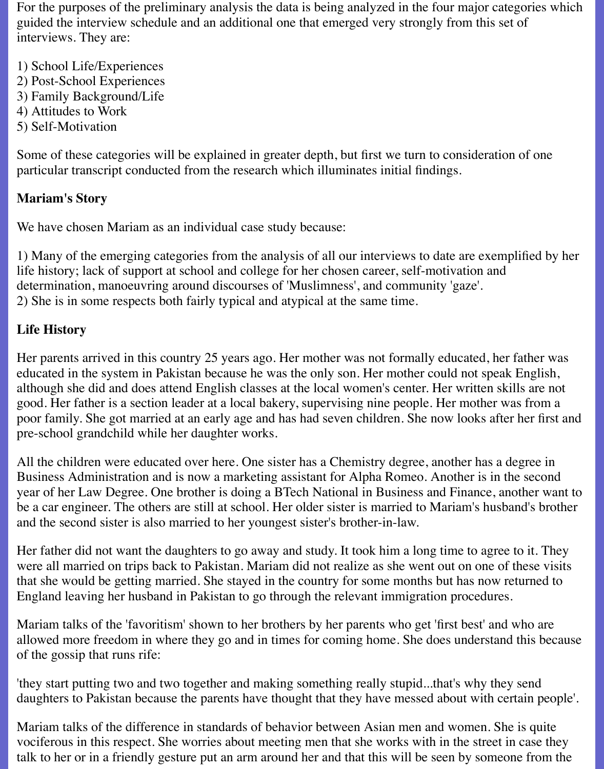For the purposes of the preliminary analysis the data is being analyzed in the four major categories which guided the interview schedule and an additional one that emerged very strongly from this set of interviews. They are:

- 1) School Life/Experiences
- 2) Post-School Experiences
- 3) Family Background/Life
- 4) Attitudes to Work
- 5) Self-Motivation

Some of these categories will be explained in greater depth, but first we turn to consideration of one particular transcript conducted from the research which illuminates initial findings.

## **Mariam's Story**

We have chosen Mariam as an individual case study because:

1) Many of the emerging categories from the analysis of all our interviews to date are exemplified by her life history; lack of support at school and college for her chosen career, self-motivation and determination, manoeuvring around discourses of 'Muslimness', and community 'gaze'. 2) She is in some respects both fairly typical and atypical at the same time.

# **Life History**

Her parents arrived in this country 25 years ago. Her mother was not formally educated, her father was educated in the system in Pakistan because he was the only son. Her mother could not speak English, although she did and does attend English classes at the local women's center. Her written skills are not good. Her father is a section leader at a local bakery, supervising nine people. Her mother was from a poor family. She got married at an early age and has had seven children. She now looks after her first and pre-school grandchild while her daughter works.

All the children were educated over here. One sister has a Chemistry degree, another has a degree in Business Administration and is now a marketing assistant for Alpha Romeo. Another is in the second year of her Law Degree. One brother is doing a BTech National in Business and Finance, another want to be a car engineer. The others are still at school. Her older sister is married to Mariam's husband's brother and the second sister is also married to her youngest sister's brother-in-law.

Her father did not want the daughters to go away and study. It took him a long time to agree to it. They were all married on trips back to Pakistan. Mariam did not realize as she went out on one of these visits that she would be getting married. She stayed in the country for some months but has now returned to England leaving her husband in Pakistan to go through the relevant immigration procedures.

Mariam talks of the 'favoritism' shown to her brothers by her parents who get 'first best' and who are allowed more freedom in where they go and in times for coming home. She does understand this because of the gossip that runs rife:

'they start putting two and two together and making something really stupid...that's why they send daughters to Pakistan because the parents have thought that they have messed about with certain people'.

Mariam talks of the difference in standards of behavior between Asian men and women. She is quite vociferous in this respect. She worries about meeting men that she works with in the street in case they talk to her or in a friendly gesture put an arm around her and that this will be seen by someone from the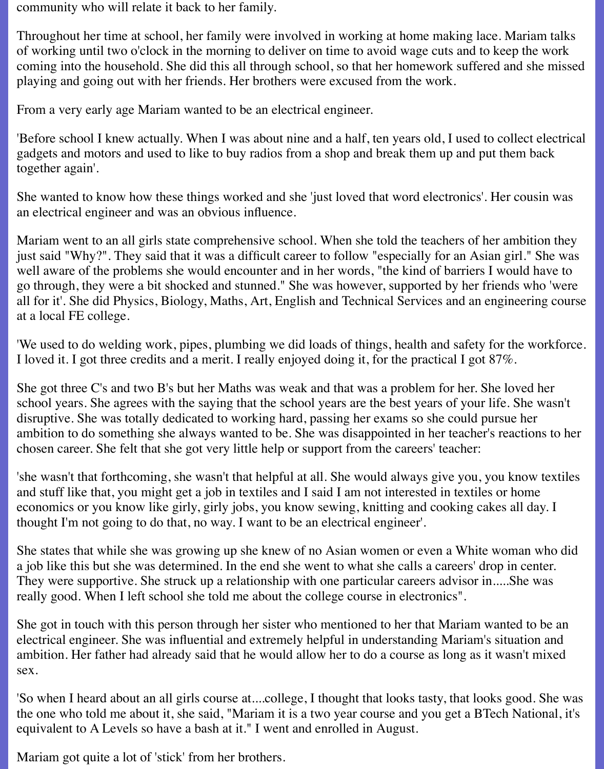community who will relate it back to her family.

Throughout her time at school, her family were involved in working at home making lace. Mariam talks of working until two o'clock in the morning to deliver on time to avoid wage cuts and to keep the work coming into the household. She did this all through school, so that her homework suffered and she missed playing and going out with her friends. Her brothers were excused from the work.

From a very early age Mariam wanted to be an electrical engineer.

'Before school I knew actually. When I was about nine and a half, ten years old, I used to collect electrical gadgets and motors and used to like to buy radios from a shop and break them up and put them back together again'.

She wanted to know how these things worked and she 'just loved that word electronics'. Her cousin was an electrical engineer and was an obvious influence.

Mariam went to an all girls state comprehensive school. When she told the teachers of her ambition they just said "Why?". They said that it was a difficult career to follow "especially for an Asian girl." She was well aware of the problems she would encounter and in her words, "the kind of barriers I would have to go through, they were a bit shocked and stunned." She was however, supported by her friends who 'were all for it'. She did Physics, Biology, Maths, Art, English and Technical Services and an engineering course at a local FE college.

'We used to do welding work, pipes, plumbing we did loads of things, health and safety for the workforce. I loved it. I got three credits and a merit. I really enjoyed doing it, for the practical I got 87%.

She got three C's and two B's but her Maths was weak and that was a problem for her. She loved her school years. She agrees with the saying that the school years are the best years of your life. She wasn't disruptive. She was totally dedicated to working hard, passing her exams so she could pursue her ambition to do something she always wanted to be. She was disappointed in her teacher's reactions to her chosen career. She felt that she got very little help or support from the careers' teacher:

'she wasn't that forthcoming, she wasn't that helpful at all. She would always give you, you know textiles and stuff like that, you might get a job in textiles and I said I am not interested in textiles or home economics or you know like girly, girly jobs, you know sewing, knitting and cooking cakes all day. I thought I'm not going to do that, no way. I want to be an electrical engineer'.

She states that while she was growing up she knew of no Asian women or even a White woman who did a job like this but she was determined. In the end she went to what she calls a careers' drop in center. They were supportive. She struck up a relationship with one particular careers advisor in.....She was really good. When I left school she told me about the college course in electronics".

She got in touch with this person through her sister who mentioned to her that Mariam wanted to be an electrical engineer. She was influential and extremely helpful in understanding Mariam's situation and ambition. Her father had already said that he would allow her to do a course as long as it wasn't mixed sex.

'So when I heard about an all girls course at....college, I thought that looks tasty, that looks good. She was the one who told me about it, she said, "Mariam it is a two year course and you get a BTech National, it's equivalent to A Levels so have a bash at it." I went and enrolled in August.

Mariam got quite a lot of 'stick' from her brothers.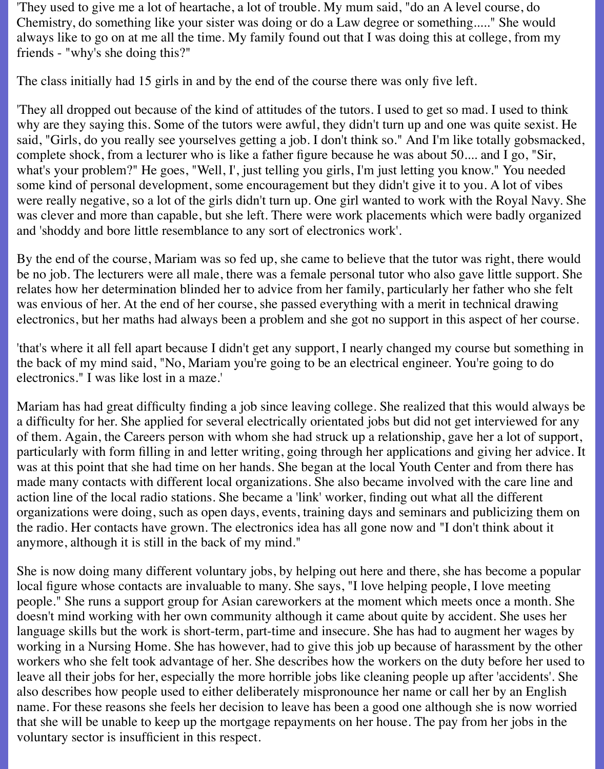'They used to give me a lot of heartache, a lot of trouble. My mum said, "do an A level course, do Chemistry, do something like your sister was doing or do a Law degree or something....." She would always like to go on at me all the time. My family found out that I was doing this at college, from my friends - "why's she doing this?"

The class initially had 15 girls in and by the end of the course there was only five left.

'They all dropped out because of the kind of attitudes of the tutors. I used to get so mad. I used to think why are they saying this. Some of the tutors were awful, they didn't turn up and one was quite sexist. He said, "Girls, do you really see yourselves getting a job. I don't think so." And I'm like totally gobsmacked, complete shock, from a lecturer who is like a father figure because he was about 50.... and I go, "Sir, what's your problem?" He goes, "Well, I', just telling you girls, I'm just letting you know." You needed some kind of personal development, some encouragement but they didn't give it to you. A lot of vibes were really negative, so a lot of the girls didn't turn up. One girl wanted to work with the Royal Navy. She was clever and more than capable, but she left. There were work placements which were badly organized and 'shoddy and bore little resemblance to any sort of electronics work'.

By the end of the course, Mariam was so fed up, she came to believe that the tutor was right, there would be no job. The lecturers were all male, there was a female personal tutor who also gave little support. She relates how her determination blinded her to advice from her family, particularly her father who she felt was envious of her. At the end of her course, she passed everything with a merit in technical drawing electronics, but her maths had always been a problem and she got no support in this aspect of her course.

'that's where it all fell apart because I didn't get any support, I nearly changed my course but something in the back of my mind said, "No, Mariam you're going to be an electrical engineer. You're going to do electronics." I was like lost in a maze.'

Mariam has had great difficulty finding a job since leaving college. She realized that this would always be a difficulty for her. She applied for several electrically orientated jobs but did not get interviewed for any of them. Again, the Careers person with whom she had struck up a relationship, gave her a lot of support, particularly with form filling in and letter writing, going through her applications and giving her advice. It was at this point that she had time on her hands. She began at the local Youth Center and from there has made many contacts with different local organizations. She also became involved with the care line and action line of the local radio stations. She became a 'link' worker, finding out what all the different organizations were doing, such as open days, events, training days and seminars and publicizing them on the radio. Her contacts have grown. The electronics idea has all gone now and "I don't think about it anymore, although it is still in the back of my mind."

She is now doing many different voluntary jobs, by helping out here and there, she has become a popular local figure whose contacts are invaluable to many. She says, "I love helping people, I love meeting people." She runs a support group for Asian careworkers at the moment which meets once a month. She doesn't mind working with her own community although it came about quite by accident. She uses her language skills but the work is short-term, part-time and insecure. She has had to augment her wages by working in a Nursing Home. She has however, had to give this job up because of harassment by the other workers who she felt took advantage of her. She describes how the workers on the duty before her used to leave all their jobs for her, especially the more horrible jobs like cleaning people up after 'accidents'. She also describes how people used to either deliberately mispronounce her name or call her by an English name. For these reasons she feels her decision to leave has been a good one although she is now worried that she will be unable to keep up the mortgage repayments on her house. The pay from her jobs in the voluntary sector is insufficient in this respect.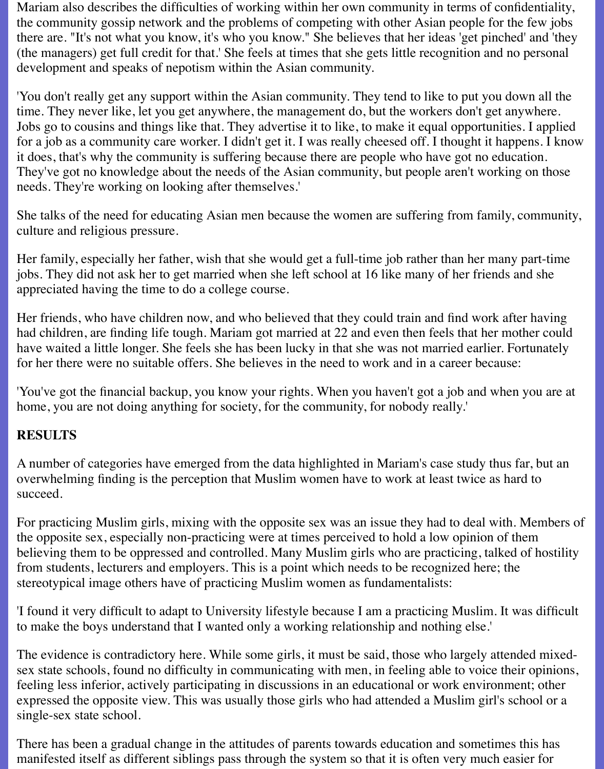Mariam also describes the difficulties of working within her own community in terms of confidentiality, the community gossip network and the problems of competing with other Asian people for the few jobs there are. "It's not what you know, it's who you know." She believes that her ideas 'get pinched' and 'they (the managers) get full credit for that.' She feels at times that she gets little recognition and no personal development and speaks of nepotism within the Asian community.

'You don't really get any support within the Asian community. They tend to like to put you down all the time. They never like, let you get anywhere, the management do, but the workers don't get anywhere. Jobs go to cousins and things like that. They advertise it to like, to make it equal opportunities. I applied for a job as a community care worker. I didn't get it. I was really cheesed off. I thought it happens. I know it does, that's why the community is suffering because there are people who have got no education. They've got no knowledge about the needs of the Asian community, but people aren't working on those needs. They're working on looking after themselves.'

She talks of the need for educating Asian men because the women are suffering from family, community, culture and religious pressure.

Her family, especially her father, wish that she would get a full-time job rather than her many part-time jobs. They did not ask her to get married when she left school at 16 like many of her friends and she appreciated having the time to do a college course.

Her friends, who have children now, and who believed that they could train and find work after having had children, are finding life tough. Mariam got married at 22 and even then feels that her mother could have waited a little longer. She feels she has been lucky in that she was not married earlier. Fortunately for her there were no suitable offers. She believes in the need to work and in a career because:

'You've got the financial backup, you know your rights. When you haven't got a job and when you are at home, you are not doing anything for society, for the community, for nobody really.'

### **RESULTS**

A number of categories have emerged from the data highlighted in Mariam's case study thus far, but an overwhelming finding is the perception that Muslim women have to work at least twice as hard to succeed.

For practicing Muslim girls, mixing with the opposite sex was an issue they had to deal with. Members of the opposite sex, especially non-practicing were at times perceived to hold a low opinion of them believing them to be oppressed and controlled. Many Muslim girls who are practicing, talked of hostility from students, lecturers and employers. This is a point which needs to be recognized here; the stereotypical image others have of practicing Muslim women as fundamentalists:

'I found it very difficult to adapt to University lifestyle because I am a practicing Muslim. It was difficult to make the boys understand that I wanted only a working relationship and nothing else.'

The evidence is contradictory here. While some girls, it must be said, those who largely attended mixedsex state schools, found no difficulty in communicating with men, in feeling able to voice their opinions, feeling less inferior, actively participating in discussions in an educational or work environment; other expressed the opposite view. This was usually those girls who had attended a Muslim girl's school or a single-sex state school.

There has been a gradual change in the attitudes of parents towards education and sometimes this has manifested itself as different siblings pass through the system so that it is often very much easier for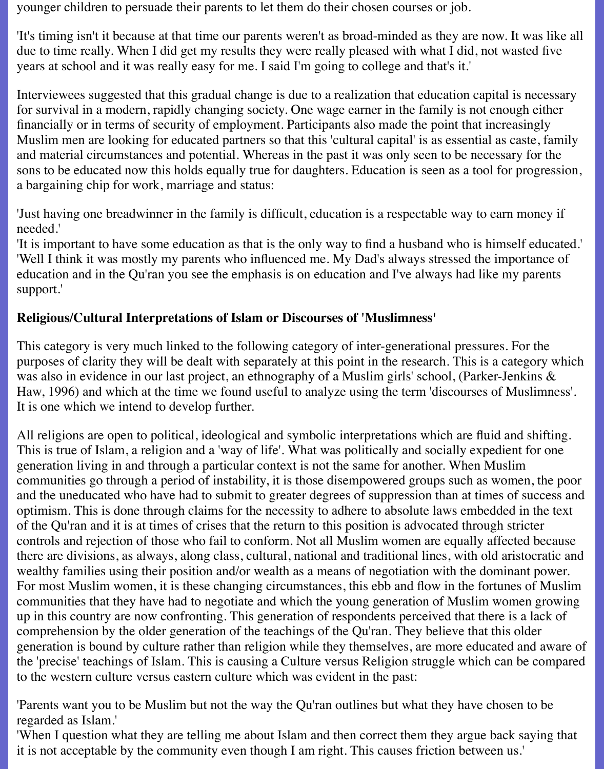younger children to persuade their parents to let them do their chosen courses or job.

'It's timing isn't it because at that time our parents weren't as broad-minded as they are now. It was like all due to time really. When I did get my results they were really pleased with what I did, not wasted five years at school and it was really easy for me. I said I'm going to college and that's it.'

Interviewees suggested that this gradual change is due to a realization that education capital is necessary for survival in a modern, rapidly changing society. One wage earner in the family is not enough either financially or in terms of security of employment. Participants also made the point that increasingly Muslim men are looking for educated partners so that this 'cultural capital' is as essential as caste, family and material circumstances and potential. Whereas in the past it was only seen to be necessary for the sons to be educated now this holds equally true for daughters. Education is seen as a tool for progression, a bargaining chip for work, marriage and status:

'Just having one breadwinner in the family is difficult, education is a respectable way to earn money if needed.'

'It is important to have some education as that is the only way to find a husband who is himself educated.' 'Well I think it was mostly my parents who influenced me. My Dad's always stressed the importance of education and in the Qu'ran you see the emphasis is on education and I've always had like my parents support.'

## **Religious/Cultural Interpretations of Islam or Discourses of 'Muslimness'**

This category is very much linked to the following category of inter-generational pressures. For the purposes of clarity they will be dealt with separately at this point in the research. This is a category which was also in evidence in our last project, an ethnography of a Muslim girls' school, (Parker-Jenkins & Haw, 1996) and which at the time we found useful to analyze using the term 'discourses of Muslimness'. It is one which we intend to develop further.

All religions are open to political, ideological and symbolic interpretations which are fluid and shifting. This is true of Islam, a religion and a 'way of life'. What was politically and socially expedient for one generation living in and through a particular context is not the same for another. When Muslim communities go through a period of instability, it is those disempowered groups such as women, the poor and the uneducated who have had to submit to greater degrees of suppression than at times of success and optimism. This is done through claims for the necessity to adhere to absolute laws embedded in the text of the Qu'ran and it is at times of crises that the return to this position is advocated through stricter controls and rejection of those who fail to conform. Not all Muslim women are equally affected because there are divisions, as always, along class, cultural, national and traditional lines, with old aristocratic and wealthy families using their position and/or wealth as a means of negotiation with the dominant power. For most Muslim women, it is these changing circumstances, this ebb and flow in the fortunes of Muslim communities that they have had to negotiate and which the young generation of Muslim women growing up in this country are now confronting. This generation of respondents perceived that there is a lack of comprehension by the older generation of the teachings of the Qu'ran. They believe that this older generation is bound by culture rather than religion while they themselves, are more educated and aware of the 'precise' teachings of Islam. This is causing a Culture versus Religion struggle which can be compared to the western culture versus eastern culture which was evident in the past:

'Parents want you to be Muslim but not the way the Qu'ran outlines but what they have chosen to be regarded as Islam.'

'When I question what they are telling me about Islam and then correct them they argue back saying that it is not acceptable by the community even though I am right. This causes friction between us.'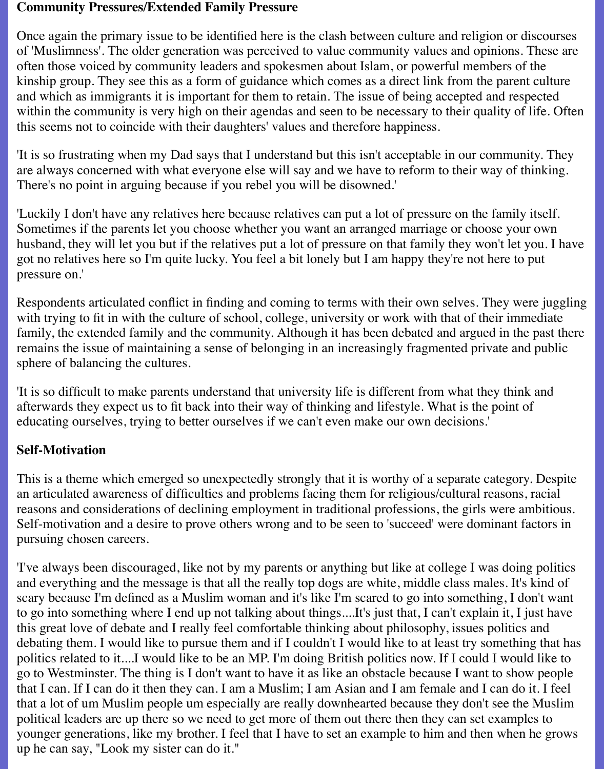#### **Community Pressures/Extended Family Pressure**

Once again the primary issue to be identified here is the clash between culture and religion or discourses of 'Muslimness'. The older generation was perceived to value community values and opinions. These are often those voiced by community leaders and spokesmen about Islam, or powerful members of the kinship group. They see this as a form of guidance which comes as a direct link from the parent culture and which as immigrants it is important for them to retain. The issue of being accepted and respected within the community is very high on their agendas and seen to be necessary to their quality of life. Often this seems not to coincide with their daughters' values and therefore happiness.

'It is so frustrating when my Dad says that I understand but this isn't acceptable in our community. They are always concerned with what everyone else will say and we have to reform to their way of thinking. There's no point in arguing because if you rebel you will be disowned.'

'Luckily I don't have any relatives here because relatives can put a lot of pressure on the family itself. Sometimes if the parents let you choose whether you want an arranged marriage or choose your own husband, they will let you but if the relatives put a lot of pressure on that family they won't let you. I have got no relatives here so I'm quite lucky. You feel a bit lonely but I am happy they're not here to put pressure on.'

Respondents articulated conflict in finding and coming to terms with their own selves. They were juggling with trying to fit in with the culture of school, college, university or work with that of their immediate family, the extended family and the community. Although it has been debated and argued in the past there remains the issue of maintaining a sense of belonging in an increasingly fragmented private and public sphere of balancing the cultures.

'It is so difficult to make parents understand that university life is different from what they think and afterwards they expect us to fit back into their way of thinking and lifestyle. What is the point of educating ourselves, trying to better ourselves if we can't even make our own decisions.'

### **Self-Motivation**

This is a theme which emerged so unexpectedly strongly that it is worthy of a separate category. Despite an articulated awareness of difficulties and problems facing them for religious/cultural reasons, racial reasons and considerations of declining employment in traditional professions, the girls were ambitious. Self-motivation and a desire to prove others wrong and to be seen to 'succeed' were dominant factors in pursuing chosen careers.

'I've always been discouraged, like not by my parents or anything but like at college I was doing politics and everything and the message is that all the really top dogs are white, middle class males. It's kind of scary because I'm defined as a Muslim woman and it's like I'm scared to go into something, I don't want to go into something where I end up not talking about things....It's just that, I can't explain it, I just have this great love of debate and I really feel comfortable thinking about philosophy, issues politics and debating them. I would like to pursue them and if I couldn't I would like to at least try something that has politics related to it....I would like to be an MP. I'm doing British politics now. If I could I would like to go to Westminster. The thing is I don't want to have it as like an obstacle because I want to show people that I can. If I can do it then they can. I am a Muslim; I am Asian and I am female and I can do it. I feel that a lot of um Muslim people um especially are really downhearted because they don't see the Muslim political leaders are up there so we need to get more of them out there then they can set examples to younger generations, like my brother. I feel that I have to set an example to him and then when he grows up he can say, "Look my sister can do it."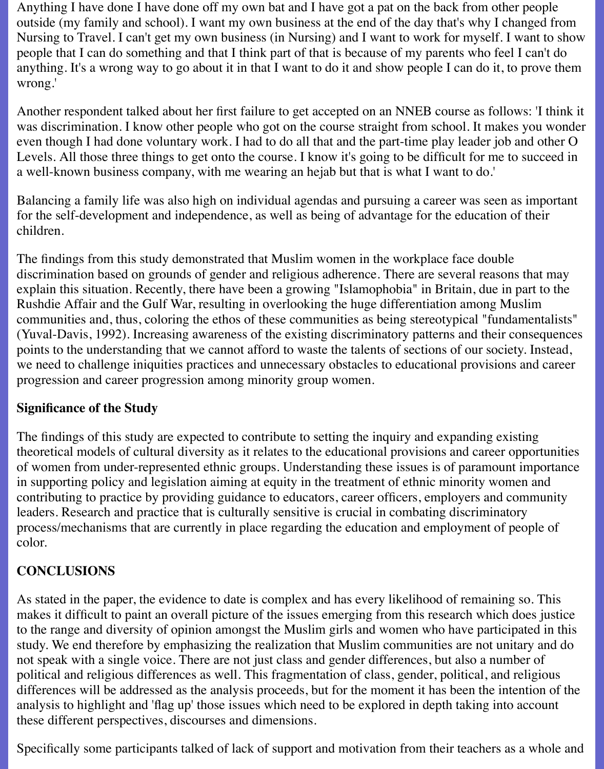Anything I have done I have done off my own bat and I have got a pat on the back from other people outside (my family and school). I want my own business at the end of the day that's why I changed from Nursing to Travel. I can't get my own business (in Nursing) and I want to work for myself. I want to show people that I can do something and that I think part of that is because of my parents who feel I can't do anything. It's a wrong way to go about it in that I want to do it and show people I can do it, to prove them wrong.'

Another respondent talked about her first failure to get accepted on an NNEB course as follows: 'I think it was discrimination. I know other people who got on the course straight from school. It makes you wonder even though I had done voluntary work. I had to do all that and the part-time play leader job and other O Levels. All those three things to get onto the course. I know it's going to be difficult for me to succeed in a well-known business company, with me wearing an hejab but that is what I want to do.'

Balancing a family life was also high on individual agendas and pursuing a career was seen as important for the self-development and independence, as well as being of advantage for the education of their children.

The findings from this study demonstrated that Muslim women in the workplace face double discrimination based on grounds of gender and religious adherence. There are several reasons that may explain this situation. Recently, there have been a growing "Islamophobia" in Britain, due in part to the Rushdie Affair and the Gulf War, resulting in overlooking the huge differentiation among Muslim communities and, thus, coloring the ethos of these communities as being stereotypical "fundamentalists" (Yuval-Davis, 1992). Increasing awareness of the existing discriminatory patterns and their consequences points to the understanding that we cannot afford to waste the talents of sections of our society. Instead, we need to challenge iniquities practices and unnecessary obstacles to educational provisions and career progression and career progression among minority group women.

#### **Significance of the Study**

The findings of this study are expected to contribute to setting the inquiry and expanding existing theoretical models of cultural diversity as it relates to the educational provisions and career opportunities of women from under-represented ethnic groups. Understanding these issues is of paramount importance in supporting policy and legislation aiming at equity in the treatment of ethnic minority women and contributing to practice by providing guidance to educators, career officers, employers and community leaders. Research and practice that is culturally sensitive is crucial in combating discriminatory process/mechanisms that are currently in place regarding the education and employment of people of color.

## **CONCLUSIONS**

As stated in the paper, the evidence to date is complex and has every likelihood of remaining so. This makes it difficult to paint an overall picture of the issues emerging from this research which does justice to the range and diversity of opinion amongst the Muslim girls and women who have participated in this study. We end therefore by emphasizing the realization that Muslim communities are not unitary and do not speak with a single voice. There are not just class and gender differences, but also a number of political and religious differences as well. This fragmentation of class, gender, political, and religious differences will be addressed as the analysis proceeds, but for the moment it has been the intention of the analysis to highlight and 'flag up' those issues which need to be explored in depth taking into account these different perspectives, discourses and dimensions.

Specifically some participants talked of lack of support and motivation from their teachers as a whole and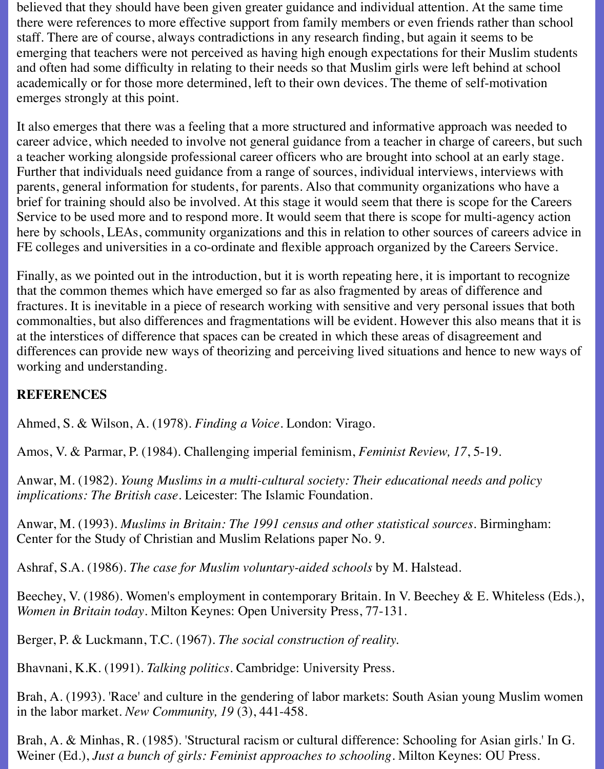believed that they should have been given greater guidance and individual attention. At the same time there were references to more effective support from family members or even friends rather than school staff. There are of course, always contradictions in any research finding, but again it seems to be emerging that teachers were not perceived as having high enough expectations for their Muslim students and often had some difficulty in relating to their needs so that Muslim girls were left behind at school academically or for those more determined, left to their own devices. The theme of self-motivation emerges strongly at this point.

It also emerges that there was a feeling that a more structured and informative approach was needed to career advice, which needed to involve not general guidance from a teacher in charge of careers, but such a teacher working alongside professional career officers who are brought into school at an early stage. Further that individuals need guidance from a range of sources, individual interviews, interviews with parents, general information for students, for parents. Also that community organizations who have a brief for training should also be involved. At this stage it would seem that there is scope for the Careers Service to be used more and to respond more. It would seem that there is scope for multi-agency action here by schools, LEAs, community organizations and this in relation to other sources of careers advice in FE colleges and universities in a co-ordinate and flexible approach organized by the Careers Service.

Finally, as we pointed out in the introduction, but it is worth repeating here, it is important to recognize that the common themes which have emerged so far as also fragmented by areas of difference and fractures. It is inevitable in a piece of research working with sensitive and very personal issues that both commonalties, but also differences and fragmentations will be evident. However this also means that it is at the interstices of difference that spaces can be created in which these areas of disagreement and differences can provide new ways of theorizing and perceiving lived situations and hence to new ways of working and understanding.

## **REFERENCES**

Ahmed, S. & Wilson, A. (1978). *Finding a Voice*. London: Virago.

Amos, V. & Parmar, P. (1984). Challenging imperial feminism, *Feminist Review, 17*, 5-19.

Anwar, M. (1982). *Young Muslims in a multi-cultural society: Their educational needs and policy implications: The British case*. Leicester: The Islamic Foundation.

Anwar, M. (1993). *Muslims in Britain: The 1991 census and other statistical sources.* Birmingham: Center for the Study of Christian and Muslim Relations paper No. 9.

Ashraf, S.A. (1986). *The case for Muslim voluntary-aided schools* by M. Halstead.

Beechey, V. (1986). Women's employment in contemporary Britain. In V. Beechey & E. Whiteless (Eds.), *Women in Britain today*. Milton Keynes: Open University Press, 77-131.

Berger, P. & Luckmann, T.C. (1967). *The social construction of reality.*

Bhavnani, K.K. (1991). *Talking politics*. Cambridge: University Press.

Brah, A. (1993). 'Race' and culture in the gendering of labor markets: South Asian young Muslim women in the labor market. *New Community, 19* (3), 441-458.

Brah, A. & Minhas, R. (1985). 'Structural racism or cultural difference: Schooling for Asian girls.' In G. Weiner (Ed.), *Just a bunch of girls: Feminist approaches to schooling*. Milton Keynes: OU Press.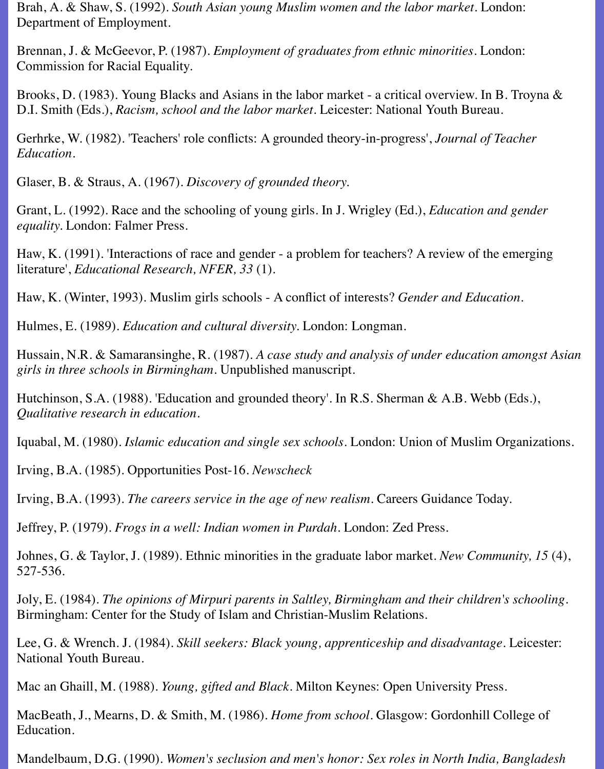Brah, A. & Shaw, S. (1992). *South Asian young Muslim women and the labor market*. London: Department of Employment.

Brennan, J. & McGeevor, P. (1987). *Employment of graduates from ethnic minorities*. London: Commission for Racial Equality.

Brooks, D. (1983). Young Blacks and Asians in the labor market - a critical overview. In B. Troyna & D.I. Smith (Eds.), *Racism, school and the labor market*. Leicester: National Youth Bureau.

Gerhrke, W. (1982). 'Teachers' role conflicts: A grounded theory-in-progress', *Journal of Teacher Education.*

Glaser, B. & Straus, A. (1967). *Discovery of grounded theory.*

Grant, L. (1992). Race and the schooling of young girls. In J. Wrigley (Ed.), *Education and gender equality.* London: Falmer Press.

Haw, K. (1991). 'Interactions of race and gender - a problem for teachers? A review of the emerging literature', *Educational Research, NFER, 33* (1).

Haw, K. (Winter, 1993). Muslim girls schools - A conflict of interests? *Gender and Education.*

Hulmes, E. (1989). *Education and cultural diversity.* London: Longman.

Hussain, N.R. & Samaransinghe, R. (1987). *A case study and analysis of under education amongst Asian girls in three schools in Birmingham.* Unpublished manuscript.

Hutchinson, S.A. (1988). 'Education and grounded theory'. In R.S. Sherman & A.B. Webb (Eds.), *Qualitative research in education.*

Iquabal, M. (1980). *Islamic education and single sex schools*. London: Union of Muslim Organizations.

Irving, B.A. (1985). Opportunities Post-16. *Newscheck*

Irving, B.A. (1993). *The careers service in the age of new realism*. Careers Guidance Today.

Jeffrey, P. (1979). *Frogs in a well: Indian women in Purdah*. London: Zed Press.

Johnes, G. & Taylor, J. (1989). Ethnic minorities in the graduate labor market. *New Community, 15* (4), 527-536.

Joly, E. (1984). *The opinions of Mirpuri parents in Saltley, Birmingham and their children's schooling*. Birmingham: Center for the Study of Islam and Christian-Muslim Relations.

Lee, G. & Wrench. J. (1984). *Skill seekers: Black young, apprenticeship and disadvantage*. Leicester: National Youth Bureau.

Mac an Ghaill, M. (1988). *Young, gifted and Black*. Milton Keynes: Open University Press.

MacBeath, J., Mearns, D. & Smith, M. (1986). *Home from school*. Glasgow: Gordonhill College of Education.

Mandelbaum, D.G. (1990). *Women's seclusion and men's honor: Sex roles in North India, Bangladesh*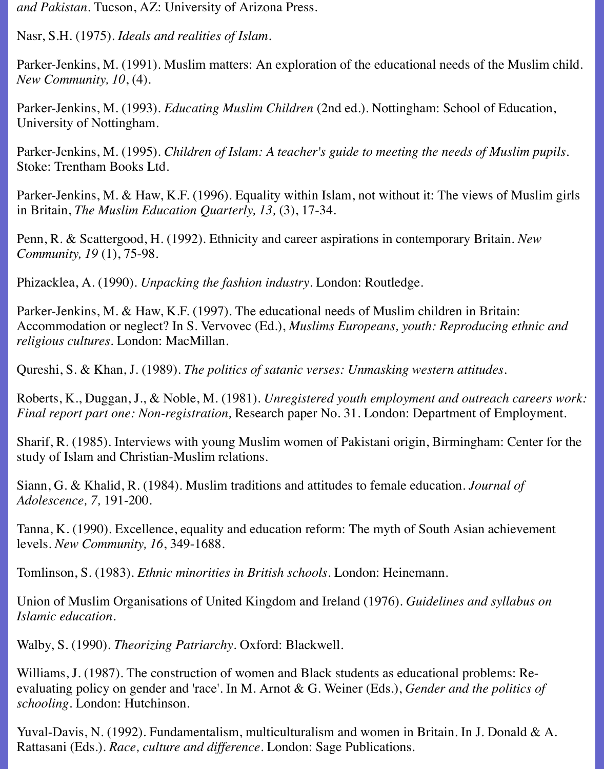*and Pakistan*. Tucson, AZ: University of Arizona Press.

Nasr, S.H. (1975). *Ideals and realities of Islam.*

Parker-Jenkins, M. (1991). Muslim matters: An exploration of the educational needs of the Muslim child. *New Community, 10*, (4).

Parker-Jenkins, M. (1993). *Educating Muslim Children* (2nd ed.). Nottingham: School of Education, University of Nottingham.

Parker-Jenkins, M. (1995). *Children of Islam: A teacher's guide to meeting the needs of Muslim pupils*. Stoke: Trentham Books Ltd.

Parker-Jenkins, M. & Haw, K.F. (1996). Equality within Islam, not without it: The views of Muslim girls in Britain, *The Muslim Education Quarterly, 13,* (3), 17-34.

Penn, R. & Scattergood, H. (1992). Ethnicity and career aspirations in contemporary Britain. *New Community, 19* (1), 75-98.

Phizacklea, A. (1990). *Unpacking the fashion industry*. London: Routledge.

Parker-Jenkins, M. & Haw, K.F. (1997). The educational needs of Muslim children in Britain: Accommodation or neglect? In S. Vervovec (Ed.), *Muslims Europeans, youth: Reproducing ethnic and religious cultures.* London: MacMillan.

Qureshi, S. & Khan, J. (1989). *The politics of satanic verses: Unmasking western attitudes.*

Roberts, K., Duggan, J., & Noble, M. (1981). *Unregistered youth employment and outreach careers work: Final report part one: Non-registration,* Research paper No. 31. London: Department of Employment.

Sharif, R. (1985). Interviews with young Muslim women of Pakistani origin, Birmingham: Center for the study of Islam and Christian-Muslim relations.

Siann, G. & Khalid, R. (1984). Muslim traditions and attitudes to female education*. Journal of Adolescence, 7,* 191-200.

Tanna, K. (1990). Excellence, equality and education reform: The myth of South Asian achievement levels. *New Community, 16*, 349-1688.

Tomlinson, S. (1983). *Ethnic minorities in British schools*. London: Heinemann.

Union of Muslim Organisations of United Kingdom and Ireland (1976). *Guidelines and syllabus on Islamic education.*

Walby, S. (1990). *Theorizing Patriarchy*. Oxford: Blackwell.

Williams, J. (1987). The construction of women and Black students as educational problems: Reevaluating policy on gender and 'race'. In M. Arnot & G. Weiner (Eds.), *Gender and the politics of schooling*. London: Hutchinson.

Yuval-Davis, N. (1992). Fundamentalism, multiculturalism and women in Britain. In J. Donald & A. Rattasani (Eds.). *Race, culture and difference.* London: Sage Publications.